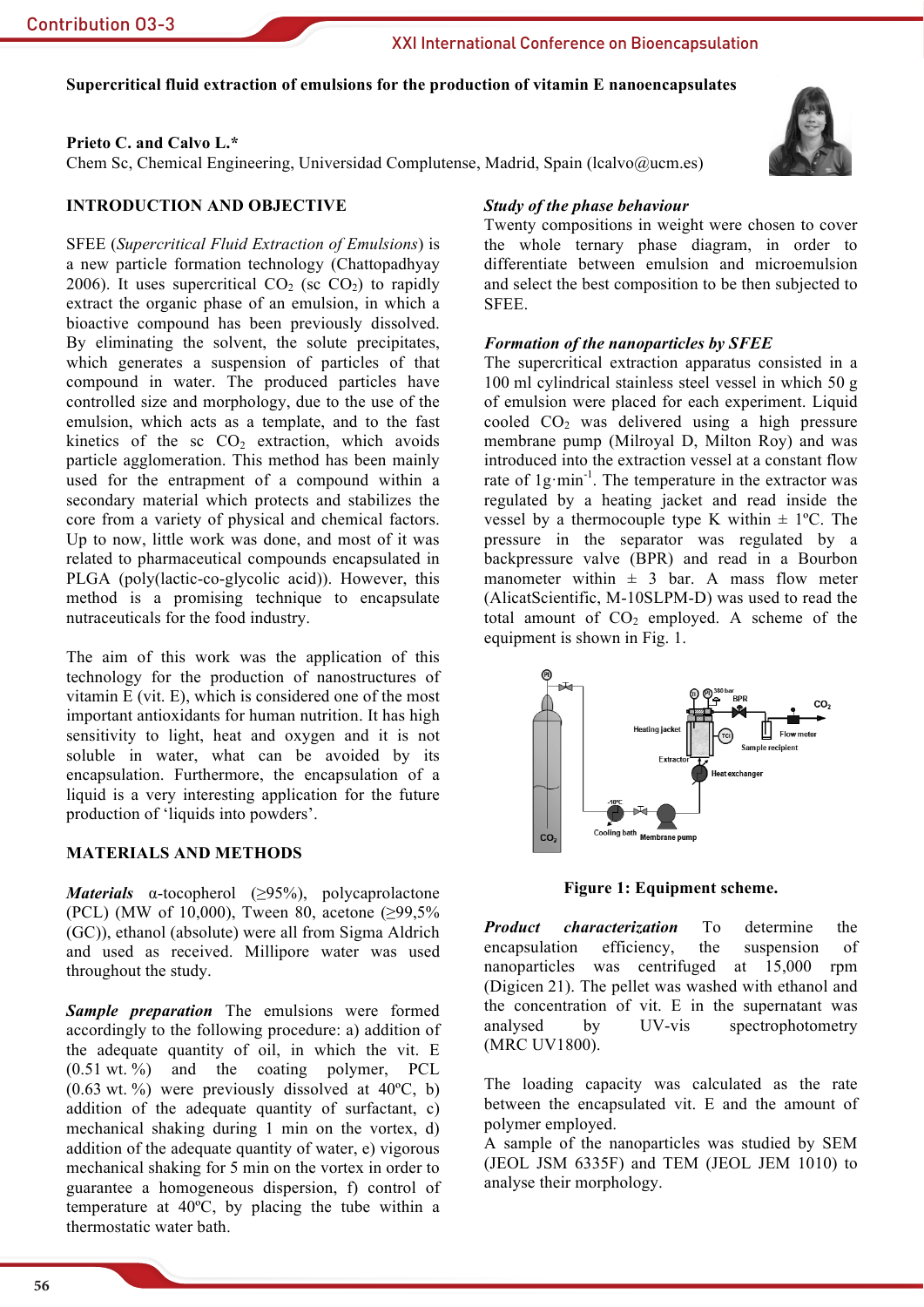# XXI International Conference on Bioencapsulation

# Supercritical fluid extraction of emulsions for the production of vitamin E nanoencapsulates

## Prieto C. and Calvo L.\*

Chem Sc, Chemical Engineering, Universidad Complutense, Madrid, Spain (Icalvo $@$ ucm.es)

## **INTRODUCTION AND OBJECTIVE**

SFEE (Supercritical Fluid Extraction of Emulsions) is a new particle formation technology (Chattopadhyay 2006). It uses supercritical  $CO<sub>2</sub>$  (sc  $CO<sub>2</sub>$ ) to rapidly extract the organic phase of an emulsion, in which a bioactive compound has been previously dissolved. By eliminating the solvent, the solute precipitates, which generates a suspension of particles of that compound in water. The produced particles have controlled size and morphology, due to the use of the emulsion, which acts as a template, and to the fast kinetics of the sc  $CO<sub>2</sub>$  extraction, which avoids particle agglomeration. This method has been mainly used for the entrapment of a compound within a secondary material which protects and stabilizes the core from a variety of physical and chemical factors. Up to now, little work was done, and most of it was related to pharmaceutical compounds encapsulated in PLGA (poly(lactic-co-glycolic acid)). However, this method is a promising technique to encapsulate nutraceuticals for the food industry.

The aim of this work was the application of this technology for the production of nanostructures of vitamin  $E$  (vit.  $E$ ), which is considered one of the most important antioxidants for human nutrition. It has high sensitivity to light, heat and oxygen and it is not soluble in water, what can be avoided by its encapsulation. Furthermore, the encapsulation of a liquid is a very interesting application for the future production of 'liquids into powders'.

## **MATERIALS AND METHODS**

**Materials**  $\alpha$ -tocopherol (>95%), polycaprolactone (PCL) (MW of 10,000), Tween 80, acetone (≥99,5% (GC)), ethanol (absolute) were all from Sigma Aldrich and used as received. Millipore water was used throughout the study.

Sample preparation The emulsions were formed accordingly to the following procedure: a) addition of the adequate quantity of oil, in which the vit. E  $(0.51 \text{ wt. } %)$  and the coating polymer, PCL  $(0.63 \text{ wt. }%)$  were previously dissolved at  $40^{\circ}$ C, b) addition of the adequate quantity of surfactant, c) mechanical shaking during 1 min on the vortex, d) addition of the adequate quantity of water, e) vigorous mechanical shaking for 5 min on the vortex in order to guarantee a homogeneous dispersion, f) control of temperature at 40°C, by placing the tube within a thermostatic water bath.

## **Study of the phase behaviour**

Twenty compositions in weight were chosen to cover the whole ternary phase diagram, in order to differentiate between emulsion and microemulsion and select the best composition to be then subjected to SFEE.

#### **Formation of the nanoparticles by SFEE**

The supercritical extraction apparatus consisted in a 100 ml cylindrical stainless steel vessel in which 50 g of emulsion were placed for each experiment. Liquid cooled CO<sub>2</sub> was delivered using a high pressure membrane pump (Milroyal D, Milton Roy) and was introduced into the extraction vessel at a constant flow rate of  $1g \cdot min^{-1}$ . The temperature in the extractor was regulated by a heating jacket and read inside the vessel by a thermocouple type K within  $\pm$  1°C. The pressure in the separator was regulated by a backpressure valve (BPR) and read in a Bourbon manometer within  $\pm$  3 bar. A mass flow meter (AlicatScientific, M-10SLPM-D) was used to read the total amount of  $CO<sub>2</sub>$  employed. A scheme of the equipment is shown in Fig. 1.



Figure 1: Equipment scheme.

**Product** *characterization* To determine the encapsulation efficiency. the suspension  $\alpha$ f nanoparticles was centrifuged at 15,000 rpm (Digicen 21). The pellet was washed with ethanol and the concentration of vit. E in the supernatant was analysed by UV-vis spectrophotometry (MRC UV1800).

The loading capacity was calculated as the rate between the encapsulated vit. E and the amount of polymer employed.

A sample of the nanoparticles was studied by SEM (JEOL JSM 6335F) and TEM (JEOL JEM 1010) to analyse their morphology.